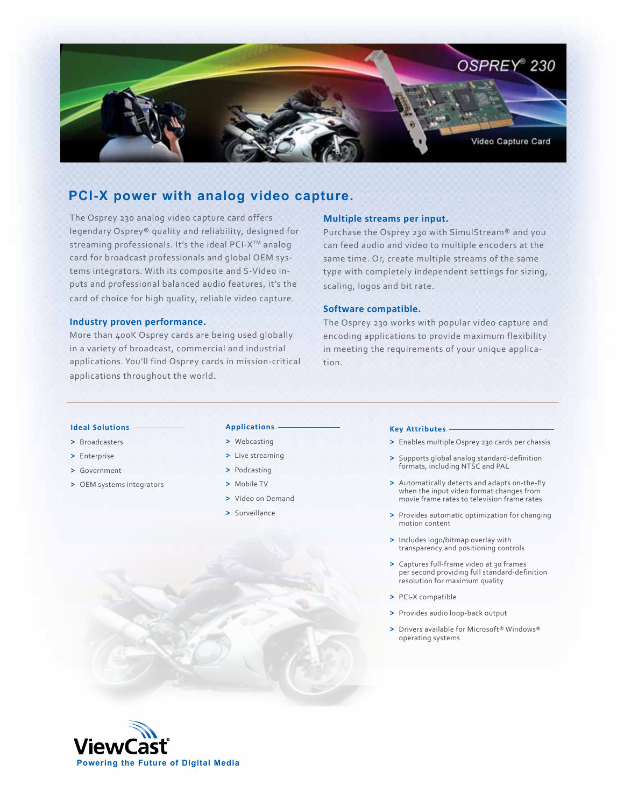

# **PCI-X power with analog video capture.**

The Osprey 230 analog video capture card offers legendary Osprey® quality and reliability, designed for streaming professionals. It's the ideal PCI-X<sup>™</sup> analog card for broadcast professionals and global OEM systems integrators. With its composite and S-Video inputs and professional balanced audio features, it's the card of choice for high quality, reliable video capture.

# **Industry proven performance.**

More than 400K Osprey cards are being used globally in a variety of broadcast, commercial and industrial applications. You'll find Osprey cards in mission-critical applications throughout the world.

# **Multiple streams per input.**

Purchase the Osprey 230 with SimulStream® and you can feed audio and video to multiple encoders at the same time. Or, create multiple streams of the same type with completely independent settings for sizing, scaling, logos and bit rate.

## **Software compatible.**

The Osprey 230 works with popular video capture and encoding applications to provide maximum flexibility in meeting the requirements of your unique application.

#### **Ideal Solutions**

- **>** Broadcasters
- **>** Enterprise
- **>** Government
- **>** OEM systems integrators

#### **Applications**

- **>** Webcasting
- **>** Live streaming
- **>** Podcasting
- **>** Mobile TV
- **>** Video on Demand
- **>** Surveillance

#### **Key Attributes**

- **>** Enables multiple Osprey 230 cards per chassis
- **>** Supports global analog standard-definition formats, including NTSC and PAL
- **>** Automatically detects and adapts on-the-fly when the input video format changes from movie frame rates to television frame rates
- **>** Provides automatic optimization for changing motion content
- **>** Includes logo/bitmap overlay with transparency and positioning controls
- **>** Captures full-frame video at 30 frames per second providing full standard-definition resolution for maximum quality
- **>** PCI-X compatible
- **>** Provides audio loop-back output
- **>** Drivers available for Microsoft® Windows® operating systems